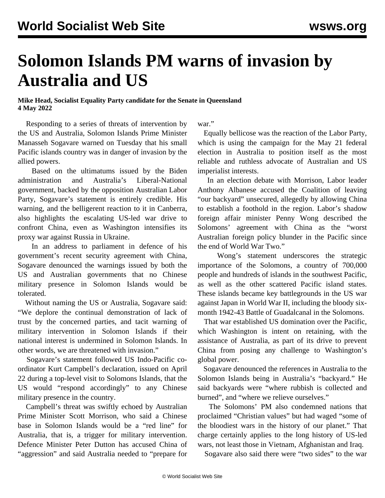## **Solomon Islands PM warns of invasion by Australia and US**

## **Mike Head, Socialist Equality Party candidate for the Senate in Queensland 4 May 2022**

 Responding to a series of threats of intervention by the US and Australia, Solomon Islands Prime Minister Manasseh Sogavare warned on Tuesday that his small Pacific islands country was in danger of invasion by the allied powers.

 Based on the ultimatums issued by the Biden administration and Australia's Liberal-National government, backed by the opposition Australian Labor Party, Sogavare's statement is entirely credible. His warning, and the belligerent reaction to it in Canberra, also highlights the escalating US-led war drive to confront China, even as Washington intensifies its proxy war against Russia in Ukraine.

 In an address to parliament in defence of his government's recent security agreement with China, Sogavare denounced the warnings issued by both the US and Australian governments that no Chinese military presence in Solomon Islands would be tolerated.

 Without naming the US or Australia, Sogavare said: "We deplore the continual demonstration of lack of trust by the concerned parties, and tacit warning of military intervention in Solomon Islands if their national interest is undermined in Solomon Islands. In other words, we are threatened with invasion."

 Sogavare's statement followed US Indo-Pacific coordinator Kurt Campbell's declaration, issued on April 22 during a top-level visit to Solomons Islands, that the US would "respond accordingly" to any Chinese military presence in the country.

 Campbell's threat was swiftly echoed by Australian Prime Minister Scott Morrison, who said a Chinese base in Solomon Islands would be a "red line" for Australia, that is, a trigger for military intervention. Defence Minister Peter Dutton has accused China of "aggression" and said Australia needed to "prepare for

war."

 Equally bellicose was the reaction of the Labor Party, which is using the campaign for the May 21 federal election in Australia to position itself as the most reliable and ruthless advocate of Australian and US imperialist interests.

 In an election debate with Morrison, Labor leader Anthony Albanese accused the Coalition of leaving "our backyard" unsecured, allegedly by allowing China to establish a foothold in the region. Labor's shadow foreign affair minister Penny Wong described the Solomons' agreement with China as the "worst Australian foreign policy blunder in the Pacific since the end of World War Two."

 Wong's statement underscores the strategic importance of the Solomons, a country of 700,000 people and hundreds of islands in the southwest Pacific, as well as the other scattered Pacific island states. These islands became key battlegrounds in the US war against Japan in World War II, including the bloody sixmonth 1942-43 Battle of Guadalcanal in the Solomons.

 That war established US domination over the Pacific, which Washington is intent on retaining, with the assistance of Australia, as part of its drive to prevent China from posing any challenge to Washington's global power.

 Sogavare denounced the references in Australia to the Solomon Islands being in Australia's "backyard." He said backyards were "where rubbish is collected and burned", and "where we relieve ourselves."

 The Solomons' PM also condemned nations that proclaimed "Christian values" but had waged "some of the bloodiest wars in the history of our planet." That charge certainly applies to the long history of US-led wars, not least those in Vietnam, Afghanistan and Iraq.

Sogavare also said there were "two sides" to the war